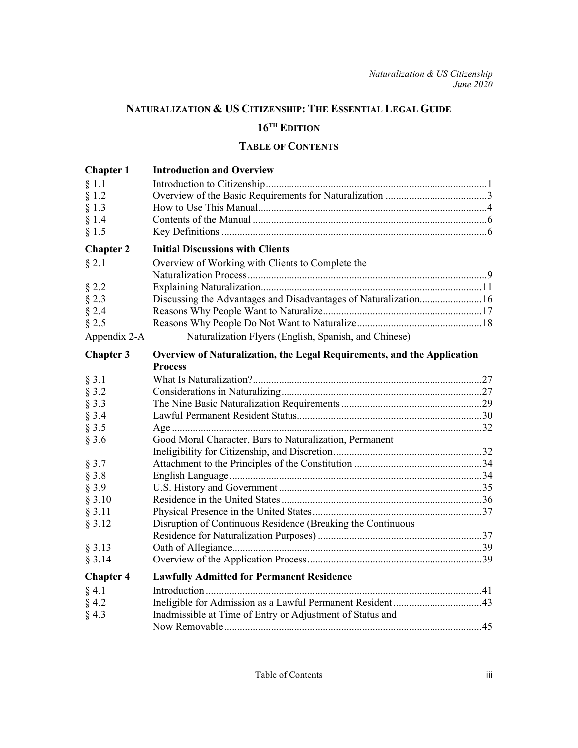# **NATURALIZATION & US CITIZENSHIP: THE ESSENTIAL LEGAL GUIDE 16TH EDITION**

# **TABLE OF CONTENTS**

| <b>Chapter 1</b> | <b>Introduction and Overview</b>                                        |
|------------------|-------------------------------------------------------------------------|
| § 1.1            |                                                                         |
| § 1.2            |                                                                         |
| $§$ 1.3          |                                                                         |
| $§$ 1.4          |                                                                         |
| § 1.5            |                                                                         |
| <b>Chapter 2</b> | <b>Initial Discussions with Clients</b>                                 |
| $§$ 2.1          | Overview of Working with Clients to Complete the                        |
|                  |                                                                         |
| $§$ 2.2          |                                                                         |
| $§$ 2.3          | Discussing the Advantages and Disadvantages of Naturalization16         |
| $§$ 2.4          |                                                                         |
| $§$ 2.5          |                                                                         |
| Appendix 2-A     | Naturalization Flyers (English, Spanish, and Chinese)                   |
| <b>Chapter 3</b> | Overview of Naturalization, the Legal Requirements, and the Application |
|                  | <b>Process</b>                                                          |
| $§$ 3.1          |                                                                         |
| $§$ 3.2          |                                                                         |
| $§$ 3.3          |                                                                         |
| $§$ 3.4          |                                                                         |
| § 3.5            |                                                                         |
| $§$ 3.6          | Good Moral Character, Bars to Naturalization, Permanent                 |
|                  |                                                                         |
| $§$ 3.7          |                                                                         |
| $§$ 3.8          |                                                                         |
| $§$ 3.9          |                                                                         |
| § 3.10           |                                                                         |
| § 3.11           |                                                                         |
| § 3.12           | Disruption of Continuous Residence (Breaking the Continuous             |
|                  |                                                                         |
| § 3.13           |                                                                         |
| § 3.14           |                                                                         |
| <b>Chapter 4</b> | <b>Lawfully Admitted for Permanent Residence</b>                        |
| $§$ 4.1          |                                                                         |
| $§$ 4.2          |                                                                         |
| § 4.3            | Inadmissible at Time of Entry or Adjustment of Status and               |
|                  |                                                                         |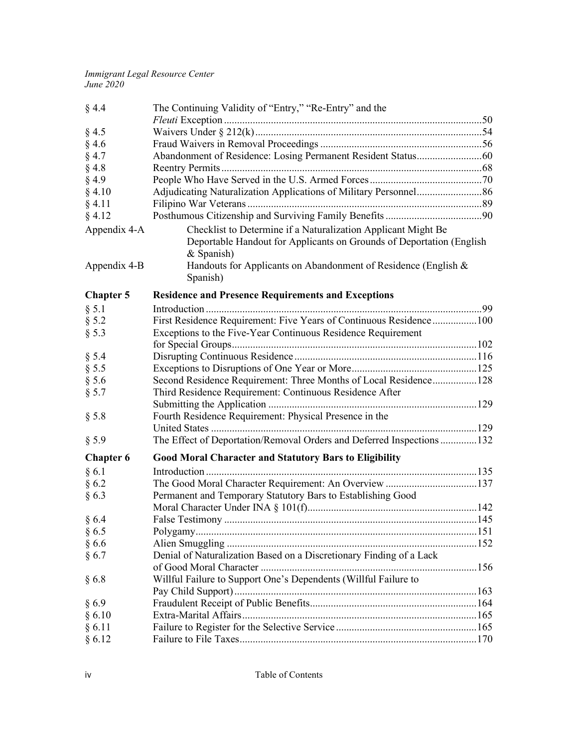| § 4.4            | The Continuing Validity of "Entry," "Re-Entry" and the                                                                                              |  |
|------------------|-----------------------------------------------------------------------------------------------------------------------------------------------------|--|
|                  |                                                                                                                                                     |  |
| $§$ 4.5          |                                                                                                                                                     |  |
| $§$ 4.6          |                                                                                                                                                     |  |
| $§$ 4.7          |                                                                                                                                                     |  |
| $§$ 4.8          |                                                                                                                                                     |  |
| $§$ 4.9          |                                                                                                                                                     |  |
| § 4.10           |                                                                                                                                                     |  |
| § 4.11           |                                                                                                                                                     |  |
| § 4.12           |                                                                                                                                                     |  |
| Appendix 4-A     | Checklist to Determine if a Naturalization Applicant Might Be<br>Deportable Handout for Applicants on Grounds of Deportation (English<br>& Spanish) |  |
| Appendix 4-B     | Handouts for Applicants on Abandonment of Residence (English &<br>Spanish)                                                                          |  |
| <b>Chapter 5</b> | <b>Residence and Presence Requirements and Exceptions</b>                                                                                           |  |
| § 5.1            |                                                                                                                                                     |  |
| § 5.2            | First Residence Requirement: Five Years of Continuous Residence100                                                                                  |  |
| § 5.3            | Exceptions to the Five-Year Continuous Residence Requirement                                                                                        |  |
|                  |                                                                                                                                                     |  |
| § 5.4            |                                                                                                                                                     |  |
| § 5.5            |                                                                                                                                                     |  |
| $§$ 5.6          | Second Residence Requirement: Three Months of Local Residence128                                                                                    |  |
| § 5.7            | Third Residence Requirement: Continuous Residence After                                                                                             |  |
|                  |                                                                                                                                                     |  |
| $§$ 5.8          | Fourth Residence Requirement: Physical Presence in the                                                                                              |  |
|                  |                                                                                                                                                     |  |
| § 5.9            | The Effect of Deportation/Removal Orders and Deferred Inspections 132                                                                               |  |
| <b>Chapter 6</b> | <b>Good Moral Character and Statutory Bars to Eligibility</b>                                                                                       |  |
| § 6.1            |                                                                                                                                                     |  |
| §6.2             | The Good Moral Character Requirement: An Overview 137                                                                                               |  |
| §6.3             | Permanent and Temporary Statutory Bars to Establishing Good                                                                                         |  |
|                  |                                                                                                                                                     |  |
| §6.4             |                                                                                                                                                     |  |
| $§$ 6.5          |                                                                                                                                                     |  |
| §6.6             |                                                                                                                                                     |  |
| § 6.7            | Denial of Naturalization Based on a Discretionary Finding of a Lack                                                                                 |  |
|                  |                                                                                                                                                     |  |
| §6.8             | Willful Failure to Support One's Dependents (Willful Failure to                                                                                     |  |
|                  |                                                                                                                                                     |  |
| §6.9             |                                                                                                                                                     |  |
| § 6.10           |                                                                                                                                                     |  |
| § 6.11           |                                                                                                                                                     |  |
| § 6.12           |                                                                                                                                                     |  |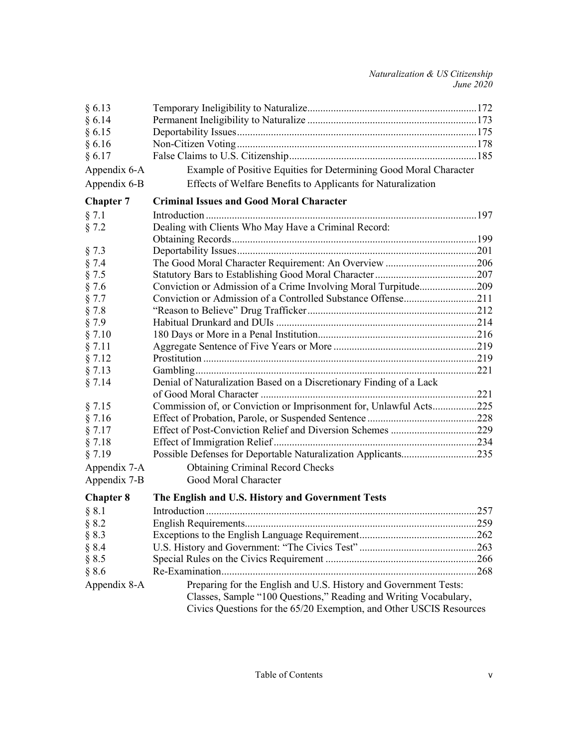| § 6.14<br>Example of Positive Equities for Determining Good Moral Character<br>Effects of Welfare Benefits to Applicants for Naturalization<br><b>Criminal Issues and Good Moral Character</b><br>Dealing with Clients Who May Have a Criminal Record:<br>Conviction or Admission of a Crime Involving Moral Turpitude209<br>Denial of Naturalization Based on a Discretionary Finding of a Lack<br>Commission of, or Conviction or Imprisonment for, Unlawful Acts225<br>Possible Defenses for Deportable Naturalization Applicants235<br><b>Obtaining Criminal Record Checks</b><br>Appendix 7-A<br>Good Moral Character<br>The English and U.S. History and Government Tests<br>259<br>§ 8.3<br>§ 8.4 | §6.13            |                                                                                                                                         |  |
|----------------------------------------------------------------------------------------------------------------------------------------------------------------------------------------------------------------------------------------------------------------------------------------------------------------------------------------------------------------------------------------------------------------------------------------------------------------------------------------------------------------------------------------------------------------------------------------------------------------------------------------------------------------------------------------------------------|------------------|-----------------------------------------------------------------------------------------------------------------------------------------|--|
|                                                                                                                                                                                                                                                                                                                                                                                                                                                                                                                                                                                                                                                                                                          |                  |                                                                                                                                         |  |
|                                                                                                                                                                                                                                                                                                                                                                                                                                                                                                                                                                                                                                                                                                          | § 6.15           |                                                                                                                                         |  |
|                                                                                                                                                                                                                                                                                                                                                                                                                                                                                                                                                                                                                                                                                                          | § 6.16           |                                                                                                                                         |  |
|                                                                                                                                                                                                                                                                                                                                                                                                                                                                                                                                                                                                                                                                                                          | § 6.17           |                                                                                                                                         |  |
|                                                                                                                                                                                                                                                                                                                                                                                                                                                                                                                                                                                                                                                                                                          | Appendix 6-A     |                                                                                                                                         |  |
|                                                                                                                                                                                                                                                                                                                                                                                                                                                                                                                                                                                                                                                                                                          | Appendix 6-B     |                                                                                                                                         |  |
|                                                                                                                                                                                                                                                                                                                                                                                                                                                                                                                                                                                                                                                                                                          | <b>Chapter 7</b> |                                                                                                                                         |  |
|                                                                                                                                                                                                                                                                                                                                                                                                                                                                                                                                                                                                                                                                                                          | § 7.1            |                                                                                                                                         |  |
|                                                                                                                                                                                                                                                                                                                                                                                                                                                                                                                                                                                                                                                                                                          | § 7.2            |                                                                                                                                         |  |
|                                                                                                                                                                                                                                                                                                                                                                                                                                                                                                                                                                                                                                                                                                          |                  |                                                                                                                                         |  |
|                                                                                                                                                                                                                                                                                                                                                                                                                                                                                                                                                                                                                                                                                                          | § 7.3            |                                                                                                                                         |  |
|                                                                                                                                                                                                                                                                                                                                                                                                                                                                                                                                                                                                                                                                                                          | § 7.4            |                                                                                                                                         |  |
|                                                                                                                                                                                                                                                                                                                                                                                                                                                                                                                                                                                                                                                                                                          | § 7.5            |                                                                                                                                         |  |
|                                                                                                                                                                                                                                                                                                                                                                                                                                                                                                                                                                                                                                                                                                          | § 7.6            |                                                                                                                                         |  |
|                                                                                                                                                                                                                                                                                                                                                                                                                                                                                                                                                                                                                                                                                                          | § 7.7            |                                                                                                                                         |  |
|                                                                                                                                                                                                                                                                                                                                                                                                                                                                                                                                                                                                                                                                                                          | § 7.8            |                                                                                                                                         |  |
|                                                                                                                                                                                                                                                                                                                                                                                                                                                                                                                                                                                                                                                                                                          | § 7.9            |                                                                                                                                         |  |
|                                                                                                                                                                                                                                                                                                                                                                                                                                                                                                                                                                                                                                                                                                          | § 7.10           |                                                                                                                                         |  |
|                                                                                                                                                                                                                                                                                                                                                                                                                                                                                                                                                                                                                                                                                                          | § 7.11           |                                                                                                                                         |  |
|                                                                                                                                                                                                                                                                                                                                                                                                                                                                                                                                                                                                                                                                                                          | § 7.12           |                                                                                                                                         |  |
|                                                                                                                                                                                                                                                                                                                                                                                                                                                                                                                                                                                                                                                                                                          | § 7.13           |                                                                                                                                         |  |
|                                                                                                                                                                                                                                                                                                                                                                                                                                                                                                                                                                                                                                                                                                          | § 7.14           |                                                                                                                                         |  |
|                                                                                                                                                                                                                                                                                                                                                                                                                                                                                                                                                                                                                                                                                                          |                  |                                                                                                                                         |  |
|                                                                                                                                                                                                                                                                                                                                                                                                                                                                                                                                                                                                                                                                                                          | § 7.15           |                                                                                                                                         |  |
|                                                                                                                                                                                                                                                                                                                                                                                                                                                                                                                                                                                                                                                                                                          | § 7.16           |                                                                                                                                         |  |
|                                                                                                                                                                                                                                                                                                                                                                                                                                                                                                                                                                                                                                                                                                          | § 7.17           |                                                                                                                                         |  |
|                                                                                                                                                                                                                                                                                                                                                                                                                                                                                                                                                                                                                                                                                                          | § 7.18           |                                                                                                                                         |  |
|                                                                                                                                                                                                                                                                                                                                                                                                                                                                                                                                                                                                                                                                                                          | § 7.19           |                                                                                                                                         |  |
|                                                                                                                                                                                                                                                                                                                                                                                                                                                                                                                                                                                                                                                                                                          |                  |                                                                                                                                         |  |
|                                                                                                                                                                                                                                                                                                                                                                                                                                                                                                                                                                                                                                                                                                          | Appendix 7-B     |                                                                                                                                         |  |
|                                                                                                                                                                                                                                                                                                                                                                                                                                                                                                                                                                                                                                                                                                          | <b>Chapter 8</b> |                                                                                                                                         |  |
|                                                                                                                                                                                                                                                                                                                                                                                                                                                                                                                                                                                                                                                                                                          | § 8.1            |                                                                                                                                         |  |
|                                                                                                                                                                                                                                                                                                                                                                                                                                                                                                                                                                                                                                                                                                          | § 8.2            |                                                                                                                                         |  |
|                                                                                                                                                                                                                                                                                                                                                                                                                                                                                                                                                                                                                                                                                                          |                  |                                                                                                                                         |  |
|                                                                                                                                                                                                                                                                                                                                                                                                                                                                                                                                                                                                                                                                                                          |                  |                                                                                                                                         |  |
|                                                                                                                                                                                                                                                                                                                                                                                                                                                                                                                                                                                                                                                                                                          | § 8.5            |                                                                                                                                         |  |
|                                                                                                                                                                                                                                                                                                                                                                                                                                                                                                                                                                                                                                                                                                          | § 8.6            |                                                                                                                                         |  |
| Preparing for the English and U.S. History and Government Tests:                                                                                                                                                                                                                                                                                                                                                                                                                                                                                                                                                                                                                                         | Appendix 8-A     |                                                                                                                                         |  |
|                                                                                                                                                                                                                                                                                                                                                                                                                                                                                                                                                                                                                                                                                                          |                  | Classes, Sample "100 Questions," Reading and Writing Vocabulary,<br>Civics Questions for the 65/20 Exemption, and Other USCIS Resources |  |
|                                                                                                                                                                                                                                                                                                                                                                                                                                                                                                                                                                                                                                                                                                          |                  |                                                                                                                                         |  |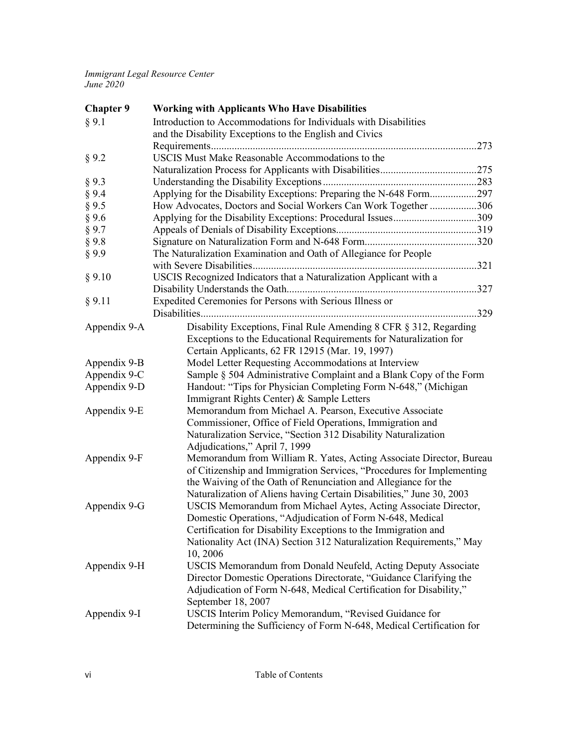| Introduction to Accommodations for Individuals with Disabilities<br>§ 9.1<br>and the Disability Exceptions to the English and Civics<br>USCIS Must Make Reasonable Accommodations to the<br>§ 9.2<br>§ 9.3<br>Applying for the Disability Exceptions: Preparing the N-648 Form297<br>§ 9.4<br>How Advocates, Doctors and Social Workers Can Work Together 306<br>§ 9.5<br>Applying for the Disability Exceptions: Procedural Issues309<br>§ 9.6<br>§ 9.7<br>§ 9.8<br>The Naturalization Examination and Oath of Allegiance for People<br>§9.9<br>USCIS Recognized Indicators that a Naturalization Applicant with a<br>§ 9.10 |  |
|-------------------------------------------------------------------------------------------------------------------------------------------------------------------------------------------------------------------------------------------------------------------------------------------------------------------------------------------------------------------------------------------------------------------------------------------------------------------------------------------------------------------------------------------------------------------------------------------------------------------------------|--|
|                                                                                                                                                                                                                                                                                                                                                                                                                                                                                                                                                                                                                               |  |
|                                                                                                                                                                                                                                                                                                                                                                                                                                                                                                                                                                                                                               |  |
|                                                                                                                                                                                                                                                                                                                                                                                                                                                                                                                                                                                                                               |  |
|                                                                                                                                                                                                                                                                                                                                                                                                                                                                                                                                                                                                                               |  |
|                                                                                                                                                                                                                                                                                                                                                                                                                                                                                                                                                                                                                               |  |
|                                                                                                                                                                                                                                                                                                                                                                                                                                                                                                                                                                                                                               |  |
|                                                                                                                                                                                                                                                                                                                                                                                                                                                                                                                                                                                                                               |  |
|                                                                                                                                                                                                                                                                                                                                                                                                                                                                                                                                                                                                                               |  |
|                                                                                                                                                                                                                                                                                                                                                                                                                                                                                                                                                                                                                               |  |
|                                                                                                                                                                                                                                                                                                                                                                                                                                                                                                                                                                                                                               |  |
|                                                                                                                                                                                                                                                                                                                                                                                                                                                                                                                                                                                                                               |  |
|                                                                                                                                                                                                                                                                                                                                                                                                                                                                                                                                                                                                                               |  |
|                                                                                                                                                                                                                                                                                                                                                                                                                                                                                                                                                                                                                               |  |
|                                                                                                                                                                                                                                                                                                                                                                                                                                                                                                                                                                                                                               |  |
|                                                                                                                                                                                                                                                                                                                                                                                                                                                                                                                                                                                                                               |  |
| Expedited Ceremonies for Persons with Serious Illness or<br>§ 9.11                                                                                                                                                                                                                                                                                                                                                                                                                                                                                                                                                            |  |
|                                                                                                                                                                                                                                                                                                                                                                                                                                                                                                                                                                                                                               |  |
| Disability Exceptions, Final Rule Amending 8 CFR § 312, Regarding<br>Appendix 9-A                                                                                                                                                                                                                                                                                                                                                                                                                                                                                                                                             |  |
| Exceptions to the Educational Requirements for Naturalization for                                                                                                                                                                                                                                                                                                                                                                                                                                                                                                                                                             |  |
| Certain Applicants, 62 FR 12915 (Mar. 19, 1997)                                                                                                                                                                                                                                                                                                                                                                                                                                                                                                                                                                               |  |
| Model Letter Requesting Accommodations at Interview<br>Appendix 9-B                                                                                                                                                                                                                                                                                                                                                                                                                                                                                                                                                           |  |
| Sample § 504 Administrative Complaint and a Blank Copy of the Form<br>Appendix 9-C                                                                                                                                                                                                                                                                                                                                                                                                                                                                                                                                            |  |
| Appendix 9-D<br>Handout: "Tips for Physician Completing Form N-648," (Michigan                                                                                                                                                                                                                                                                                                                                                                                                                                                                                                                                                |  |
| Immigrant Rights Center) & Sample Letters                                                                                                                                                                                                                                                                                                                                                                                                                                                                                                                                                                                     |  |
| Appendix 9-E<br>Memorandum from Michael A. Pearson, Executive Associate                                                                                                                                                                                                                                                                                                                                                                                                                                                                                                                                                       |  |
| Commissioner, Office of Field Operations, Immigration and                                                                                                                                                                                                                                                                                                                                                                                                                                                                                                                                                                     |  |
| Naturalization Service, "Section 312 Disability Naturalization                                                                                                                                                                                                                                                                                                                                                                                                                                                                                                                                                                |  |
| Adjudications," April 7, 1999                                                                                                                                                                                                                                                                                                                                                                                                                                                                                                                                                                                                 |  |
| Appendix 9-F<br>Memorandum from William R. Yates, Acting Associate Director, Bureau                                                                                                                                                                                                                                                                                                                                                                                                                                                                                                                                           |  |
| of Citizenship and Immigration Services, "Procedures for Implementing                                                                                                                                                                                                                                                                                                                                                                                                                                                                                                                                                         |  |
| the Waiving of the Oath of Renunciation and Allegiance for the                                                                                                                                                                                                                                                                                                                                                                                                                                                                                                                                                                |  |
| Naturalization of Aliens having Certain Disabilities," June 30, 2003                                                                                                                                                                                                                                                                                                                                                                                                                                                                                                                                                          |  |
| USCIS Memorandum from Michael Aytes, Acting Associate Director,<br>Appendix 9-G                                                                                                                                                                                                                                                                                                                                                                                                                                                                                                                                               |  |
| Domestic Operations, "Adjudication of Form N-648, Medical                                                                                                                                                                                                                                                                                                                                                                                                                                                                                                                                                                     |  |
| Certification for Disability Exceptions to the Immigration and                                                                                                                                                                                                                                                                                                                                                                                                                                                                                                                                                                |  |
| Nationality Act (INA) Section 312 Naturalization Requirements," May                                                                                                                                                                                                                                                                                                                                                                                                                                                                                                                                                           |  |
| 10, 2006                                                                                                                                                                                                                                                                                                                                                                                                                                                                                                                                                                                                                      |  |
| Appendix 9-H<br>USCIS Memorandum from Donald Neufeld, Acting Deputy Associate                                                                                                                                                                                                                                                                                                                                                                                                                                                                                                                                                 |  |
| Director Domestic Operations Directorate, "Guidance Clarifying the                                                                                                                                                                                                                                                                                                                                                                                                                                                                                                                                                            |  |
| Adjudication of Form N-648, Medical Certification for Disability,"                                                                                                                                                                                                                                                                                                                                                                                                                                                                                                                                                            |  |
| September 18, 2007                                                                                                                                                                                                                                                                                                                                                                                                                                                                                                                                                                                                            |  |
| USCIS Interim Policy Memorandum, "Revised Guidance for<br>Appendix 9-I                                                                                                                                                                                                                                                                                                                                                                                                                                                                                                                                                        |  |
| Determining the Sufficiency of Form N-648, Medical Certification for                                                                                                                                                                                                                                                                                                                                                                                                                                                                                                                                                          |  |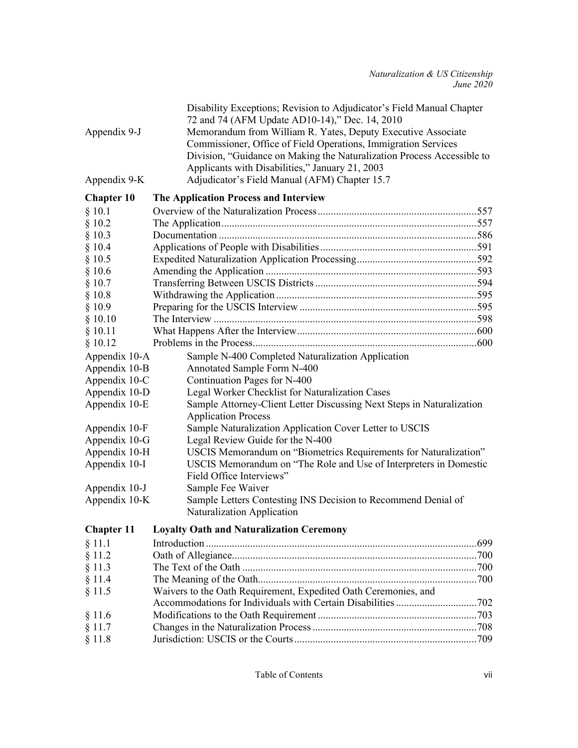| Appendix 9-J<br>Appendix 9-K | Disability Exceptions; Revision to Adjudicator's Field Manual Chapter<br>72 and 74 (AFM Update AD10-14)," Dec. 14, 2010<br>Memorandum from William R. Yates, Deputy Executive Associate<br>Commissioner, Office of Field Operations, Immigration Services<br>Division, "Guidance on Making the Naturalization Process Accessible to<br>Applicants with Disabilities," January 21, 2003<br>Adjudicator's Field Manual (AFM) Chapter 15.7 |  |
|------------------------------|-----------------------------------------------------------------------------------------------------------------------------------------------------------------------------------------------------------------------------------------------------------------------------------------------------------------------------------------------------------------------------------------------------------------------------------------|--|
| <b>Chapter 10</b>            | The Application Process and Interview                                                                                                                                                                                                                                                                                                                                                                                                   |  |
| § 10.1                       |                                                                                                                                                                                                                                                                                                                                                                                                                                         |  |
| § 10.2                       |                                                                                                                                                                                                                                                                                                                                                                                                                                         |  |
| § 10.3                       |                                                                                                                                                                                                                                                                                                                                                                                                                                         |  |
| § 10.4                       |                                                                                                                                                                                                                                                                                                                                                                                                                                         |  |
| § 10.5                       |                                                                                                                                                                                                                                                                                                                                                                                                                                         |  |
| § 10.6                       |                                                                                                                                                                                                                                                                                                                                                                                                                                         |  |
| § 10.7                       |                                                                                                                                                                                                                                                                                                                                                                                                                                         |  |
| § 10.8                       |                                                                                                                                                                                                                                                                                                                                                                                                                                         |  |
| § 10.9                       |                                                                                                                                                                                                                                                                                                                                                                                                                                         |  |
| § 10.10                      |                                                                                                                                                                                                                                                                                                                                                                                                                                         |  |
| § 10.11                      |                                                                                                                                                                                                                                                                                                                                                                                                                                         |  |
| § 10.12                      |                                                                                                                                                                                                                                                                                                                                                                                                                                         |  |
| Appendix 10-A                | Sample N-400 Completed Naturalization Application                                                                                                                                                                                                                                                                                                                                                                                       |  |
| Appendix 10-B                | Annotated Sample Form N-400                                                                                                                                                                                                                                                                                                                                                                                                             |  |
| Appendix 10-C                | Continuation Pages for N-400                                                                                                                                                                                                                                                                                                                                                                                                            |  |
| Appendix 10-D                | Legal Worker Checklist for Naturalization Cases                                                                                                                                                                                                                                                                                                                                                                                         |  |
| Appendix 10-E                | Sample Attorney-Client Letter Discussing Next Steps in Naturalization                                                                                                                                                                                                                                                                                                                                                                   |  |
|                              | <b>Application Process</b>                                                                                                                                                                                                                                                                                                                                                                                                              |  |
| Appendix 10-F                | Sample Naturalization Application Cover Letter to USCIS                                                                                                                                                                                                                                                                                                                                                                                 |  |
| Appendix 10-G                | Legal Review Guide for the N-400                                                                                                                                                                                                                                                                                                                                                                                                        |  |
| Appendix 10-H                | USCIS Memorandum on "Biometrics Requirements for Naturalization"                                                                                                                                                                                                                                                                                                                                                                        |  |
| Appendix 10-I                | USCIS Memorandum on "The Role and Use of Interpreters in Domestic                                                                                                                                                                                                                                                                                                                                                                       |  |
|                              | Field Office Interviews"                                                                                                                                                                                                                                                                                                                                                                                                                |  |
| Appendix 10-J                | Sample Fee Waiver                                                                                                                                                                                                                                                                                                                                                                                                                       |  |
| Appendix 10-K                | Sample Letters Contesting INS Decision to Recommend Denial of                                                                                                                                                                                                                                                                                                                                                                           |  |
|                              | Naturalization Application                                                                                                                                                                                                                                                                                                                                                                                                              |  |
|                              | <b>Chapter 11</b> Loyalty Oath and Naturalization Ceremony                                                                                                                                                                                                                                                                                                                                                                              |  |
| § 11.1                       |                                                                                                                                                                                                                                                                                                                                                                                                                                         |  |
| § 11.2                       |                                                                                                                                                                                                                                                                                                                                                                                                                                         |  |
| § 11.3                       |                                                                                                                                                                                                                                                                                                                                                                                                                                         |  |
| § 11.4                       |                                                                                                                                                                                                                                                                                                                                                                                                                                         |  |
| § 11.5                       | Waivers to the Oath Requirement, Expedited Oath Ceremonies, and                                                                                                                                                                                                                                                                                                                                                                         |  |
|                              |                                                                                                                                                                                                                                                                                                                                                                                                                                         |  |
| § 11.6                       |                                                                                                                                                                                                                                                                                                                                                                                                                                         |  |
| § 11.7                       |                                                                                                                                                                                                                                                                                                                                                                                                                                         |  |
| § 11.8                       |                                                                                                                                                                                                                                                                                                                                                                                                                                         |  |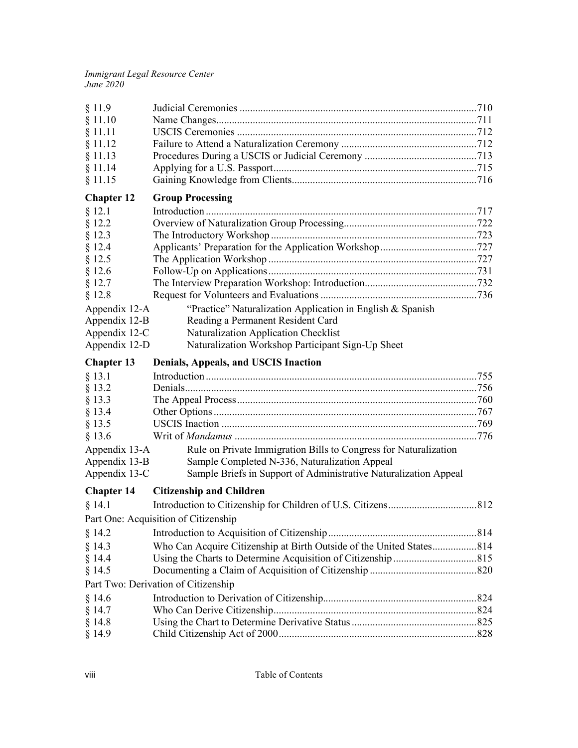| § 11.9            |                                                                      |  |
|-------------------|----------------------------------------------------------------------|--|
| § 11.10           |                                                                      |  |
| § 11.11           |                                                                      |  |
| § 11.12           |                                                                      |  |
| § 11.13           |                                                                      |  |
| § 11.14           |                                                                      |  |
| § 11.15           |                                                                      |  |
| <b>Chapter 12</b> | <b>Group Processing</b>                                              |  |
| § 12.1            |                                                                      |  |
| § 12.2            |                                                                      |  |
| § 12.3            |                                                                      |  |
| § 12.4            |                                                                      |  |
| § 12.5            |                                                                      |  |
| § 12.6            |                                                                      |  |
| § 12.7            |                                                                      |  |
| § 12.8            |                                                                      |  |
| Appendix 12-A     | "Practice" Naturalization Application in English & Spanish           |  |
| Appendix 12-B     | Reading a Permanent Resident Card                                    |  |
| Appendix 12-C     | Naturalization Application Checklist                                 |  |
| Appendix 12-D     | Naturalization Workshop Participant Sign-Up Sheet                    |  |
| <b>Chapter 13</b> | Denials, Appeals, and USCIS Inaction                                 |  |
| § 13.1            |                                                                      |  |
| § 13.2            |                                                                      |  |
| § 13.3            |                                                                      |  |
| § 13.4            |                                                                      |  |
|                   |                                                                      |  |
|                   |                                                                      |  |
| § 13.5            |                                                                      |  |
| § 13.6            |                                                                      |  |
| Appendix 13-A     | Rule on Private Immigration Bills to Congress for Naturalization     |  |
| Appendix 13-B     | Sample Completed N-336, Naturalization Appeal                        |  |
| Appendix 13-C     | Sample Briefs in Support of Administrative Naturalization Appeal     |  |
| <b>Chapter 14</b> | <b>Citizenship and Children</b>                                      |  |
| § 14.1            |                                                                      |  |
|                   | Part One: Acquisition of Citizenship                                 |  |
| § 14.2            |                                                                      |  |
| § 14.3            | Who Can Acquire Citizenship at Birth Outside of the United States814 |  |
| § 14.4            |                                                                      |  |
| § 14.5            |                                                                      |  |
|                   | Part Two: Derivation of Citizenship                                  |  |
| § 14.6            |                                                                      |  |
| § 14.7            |                                                                      |  |
| § 14.8<br>§ 14.9  |                                                                      |  |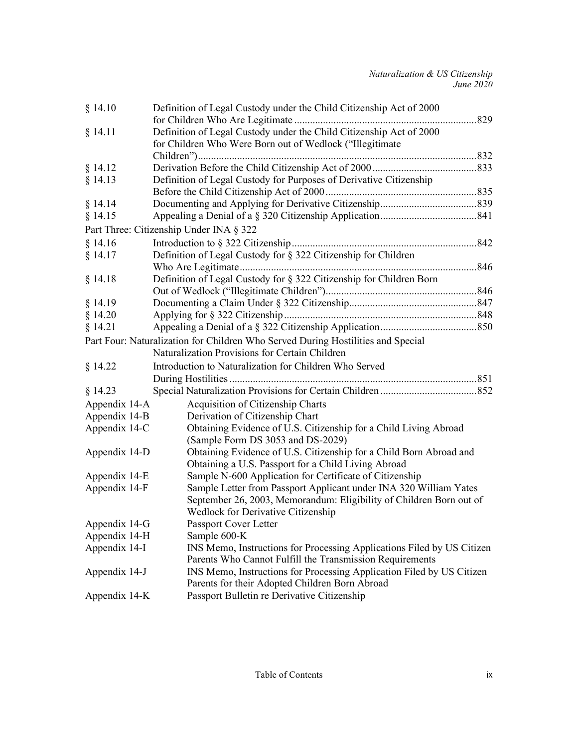| § 14.10       | Definition of Legal Custody under the Child Citizenship Act of 2000              |  |
|---------------|----------------------------------------------------------------------------------|--|
|               |                                                                                  |  |
| § 14.11       | Definition of Legal Custody under the Child Citizenship Act of 2000              |  |
|               | for Children Who Were Born out of Wedlock ("Illegitimate                         |  |
|               |                                                                                  |  |
| § 14.12       |                                                                                  |  |
| § 14.13       | Definition of Legal Custody for Purposes of Derivative Citizenship               |  |
|               |                                                                                  |  |
| § 14.14       |                                                                                  |  |
| § 14.15       |                                                                                  |  |
|               | Part Three: Citizenship Under INA § 322                                          |  |
| § 14.16       |                                                                                  |  |
| § 14.17       | Definition of Legal Custody for § 322 Citizenship for Children                   |  |
|               |                                                                                  |  |
| § 14.18       | Definition of Legal Custody for § 322 Citizenship for Children Born              |  |
|               |                                                                                  |  |
| § 14.19       |                                                                                  |  |
| § 14.20       |                                                                                  |  |
| § 14.21       |                                                                                  |  |
|               | Part Four: Naturalization for Children Who Served During Hostilities and Special |  |
|               | Naturalization Provisions for Certain Children                                   |  |
| § 14.22       | Introduction to Naturalization for Children Who Served                           |  |
|               |                                                                                  |  |
| § 14.23       |                                                                                  |  |
| Appendix 14-A | Acquisition of Citizenship Charts                                                |  |
| Appendix 14-B | Derivation of Citizenship Chart                                                  |  |
| Appendix 14-C | Obtaining Evidence of U.S. Citizenship for a Child Living Abroad                 |  |
|               | (Sample Form DS 3053 and DS-2029)                                                |  |
| Appendix 14-D | Obtaining Evidence of U.S. Citizenship for a Child Born Abroad and               |  |
|               | Obtaining a U.S. Passport for a Child Living Abroad                              |  |
| Appendix 14-E | Sample N-600 Application for Certificate of Citizenship                          |  |
| Appendix 14-F | Sample Letter from Passport Applicant under INA 320 William Yates                |  |
|               | September 26, 2003, Memorandum: Eligibility of Children Born out of              |  |
|               | <b>Wedlock for Derivative Citizenship</b>                                        |  |
| Appendix 14-G | Passport Cover Letter                                                            |  |
| Appendix 14-H | Sample 600-K                                                                     |  |
| Appendix 14-I | INS Memo, Instructions for Processing Applications Filed by US Citizen           |  |
|               | Parents Who Cannot Fulfill the Transmission Requirements                         |  |
| Appendix 14-J | INS Memo, Instructions for Processing Application Filed by US Citizen            |  |
|               | Parents for their Adopted Children Born Abroad                                   |  |
| Appendix 14-K | Passport Bulletin re Derivative Citizenship                                      |  |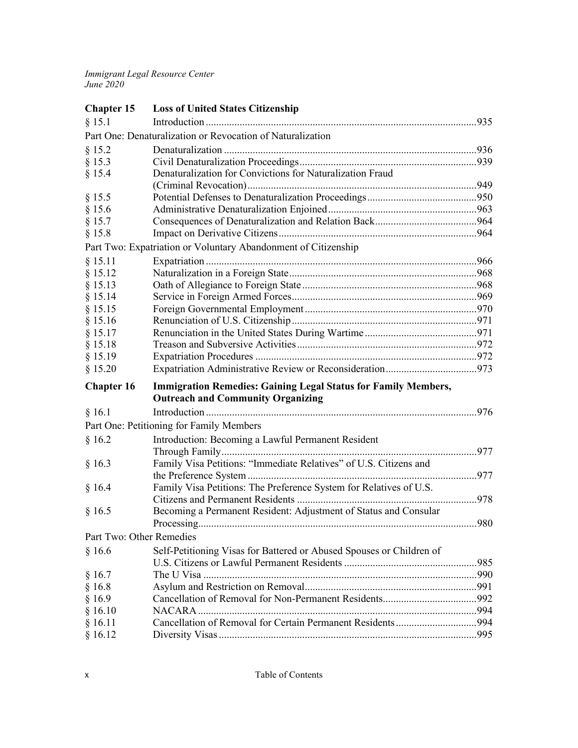| <b>Chapter 15</b>        | <b>Loss of United States Citizenship</b>                              |  |
|--------------------------|-----------------------------------------------------------------------|--|
| § 15.1                   |                                                                       |  |
|                          | Part One: Denaturalization or Revocation of Naturalization            |  |
| § 15.2                   |                                                                       |  |
| § 15.3                   |                                                                       |  |
| § 15.4                   | Denaturalization for Convictions for Naturalization Fraud             |  |
|                          |                                                                       |  |
| § 15.5                   |                                                                       |  |
| § 15.6                   |                                                                       |  |
| § 15.7                   |                                                                       |  |
| § 15.8                   |                                                                       |  |
|                          | Part Two: Expatriation or Voluntary Abandonment of Citizenship        |  |
| § 15.11                  |                                                                       |  |
| § 15.12                  |                                                                       |  |
| § 15.13                  |                                                                       |  |
| § 15.14                  |                                                                       |  |
| § 15.15                  |                                                                       |  |
| § 15.16                  |                                                                       |  |
| § 15.17                  |                                                                       |  |
| § 15.18                  |                                                                       |  |
| § 15.19                  |                                                                       |  |
| § 15.20                  |                                                                       |  |
| <b>Chapter 16</b>        | <b>Immigration Remedies: Gaining Legal Status for Family Members,</b> |  |
|                          | <b>Outreach and Community Organizing</b>                              |  |
| § 16.1                   |                                                                       |  |
|                          | Part One: Petitioning for Family Members                              |  |
| § 16.2                   | Introduction: Becoming a Lawful Permanent Resident                    |  |
|                          |                                                                       |  |
| § 16.3                   | Family Visa Petitions: "Immediate Relatives" of U.S. Citizens and     |  |
|                          |                                                                       |  |
| § 16.4                   | Family Visa Petitions: The Preference System for Relatives of U.S.    |  |
|                          |                                                                       |  |
| § 16.5                   | Becoming a Permanent Resident: Adjustment of Status and Consular      |  |
|                          |                                                                       |  |
| Part Two: Other Remedies |                                                                       |  |
| § 16.6                   | Self-Petitioning Visas for Battered or Abused Spouses or Children of  |  |
|                          |                                                                       |  |
| § 16.7                   |                                                                       |  |
| § 16.8                   |                                                                       |  |
| § 16.9                   |                                                                       |  |
| § 16.10                  |                                                                       |  |
| § 16.11                  |                                                                       |  |
| § 16.12                  |                                                                       |  |
|                          |                                                                       |  |